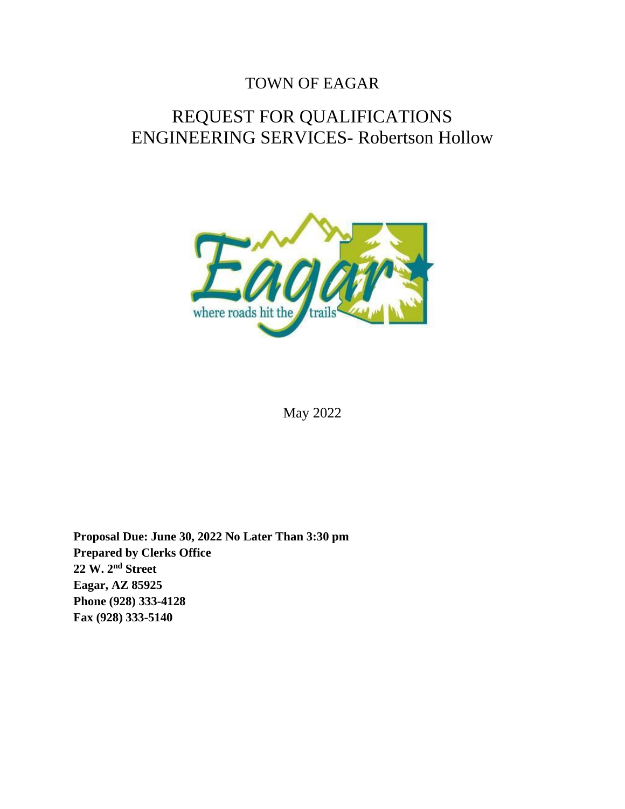## TOWN OF EAGAR

# REQUEST FOR QUALIFICATIONS ENGINEERING SERVICES- Robertson Hollow



May 2022

**Proposal Due: June 30, 2022 No Later Than 3:30 pm Prepared by Clerks Office 22 W. 2nd Street Eagar, AZ 85925 Phone (928) 333-4128 Fax (928) 333-5140**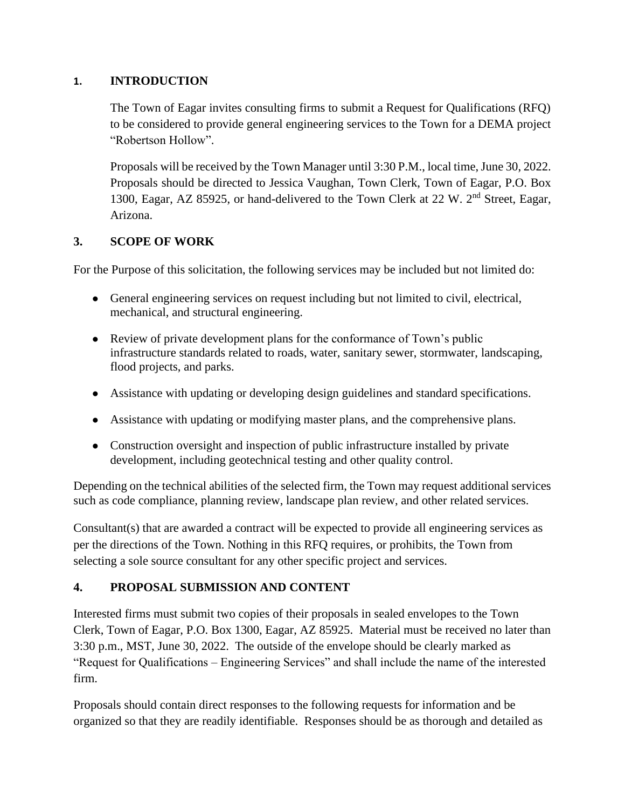#### **1. INTRODUCTION**

The Town of Eagar invites consulting firms to submit a Request for Qualifications (RFQ) to be considered to provide general engineering services to the Town for a DEMA project "Robertson Hollow".

Proposals will be received by the Town Manager until 3:30 P.M., local time, June 30, 2022. Proposals should be directed to Jessica Vaughan, Town Clerk, Town of Eagar, P.O. Box 1300, Eagar, AZ 85925, or hand-delivered to the Town Clerk at 22 W. 2<sup>nd</sup> Street, Eagar, Arizona.

#### **3. SCOPE OF WORK**

For the Purpose of this solicitation, the following services may be included but not limited do:

- General engineering services on request including but not limited to civil, electrical, mechanical, and structural engineering.
- Review of private development plans for the conformance of Town's public infrastructure standards related to roads, water, sanitary sewer, stormwater, landscaping, flood projects, and parks.
- Assistance with updating or developing design guidelines and standard specifications.
- Assistance with updating or modifying master plans, and the comprehensive plans.
- Construction oversight and inspection of public infrastructure installed by private development, including geotechnical testing and other quality control.

Depending on the technical abilities of the selected firm, the Town may request additional services such as code compliance, planning review, landscape plan review, and other related services.

Consultant(s) that are awarded a contract will be expected to provide all engineering services as per the directions of the Town. Nothing in this RFQ requires, or prohibits, the Town from selecting a sole source consultant for any other specific project and services.

#### **4. PROPOSAL SUBMISSION AND CONTENT**

Interested firms must submit two copies of their proposals in sealed envelopes to the Town Clerk, Town of Eagar, P.O. Box 1300, Eagar, AZ 85925. Material must be received no later than 3:30 p.m., MST, June 30, 2022. The outside of the envelope should be clearly marked as "Request for Qualifications – Engineering Services" and shall include the name of the interested firm.

Proposals should contain direct responses to the following requests for information and be organized so that they are readily identifiable. Responses should be as thorough and detailed as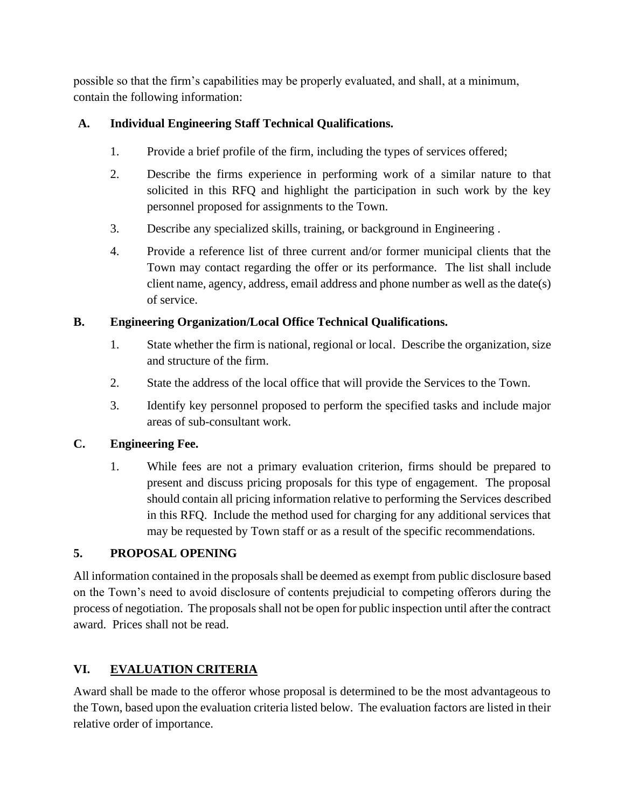possible so that the firm's capabilities may be properly evaluated, and shall, at a minimum, contain the following information:

## **A. Individual Engineering Staff Technical Qualifications.**

- 1. Provide a brief profile of the firm, including the types of services offered;
- 2. Describe the firms experience in performing work of a similar nature to that solicited in this RFQ and highlight the participation in such work by the key personnel proposed for assignments to the Town.
- 3. Describe any specialized skills, training, or background in Engineering .
- 4. Provide a reference list of three current and/or former municipal clients that the Town may contact regarding the offer or its performance. The list shall include client name, agency, address, email address and phone number as well as the date(s) of service.

#### **B. Engineering Organization/Local Office Technical Qualifications.**

- 1. State whether the firm is national, regional or local. Describe the organization, size and structure of the firm.
- 2. State the address of the local office that will provide the Services to the Town.
- 3. Identify key personnel proposed to perform the specified tasks and include major areas of sub-consultant work.

## **C. Engineering Fee.**

1. While fees are not a primary evaluation criterion, firms should be prepared to present and discuss pricing proposals for this type of engagement. The proposal should contain all pricing information relative to performing the Services described in this RFQ. Include the method used for charging for any additional services that may be requested by Town staff or as a result of the specific recommendations.

## **5. PROPOSAL OPENING**

All information contained in the proposals shall be deemed as exempt from public disclosure based on the Town's need to avoid disclosure of contents prejudicial to competing offerors during the process of negotiation. The proposals shall not be open for public inspection until after the contract award. Prices shall not be read.

## **VI. EVALUATION CRITERIA**

Award shall be made to the offeror whose proposal is determined to be the most advantageous to the Town, based upon the evaluation criteria listed below. The evaluation factors are listed in their relative order of importance.